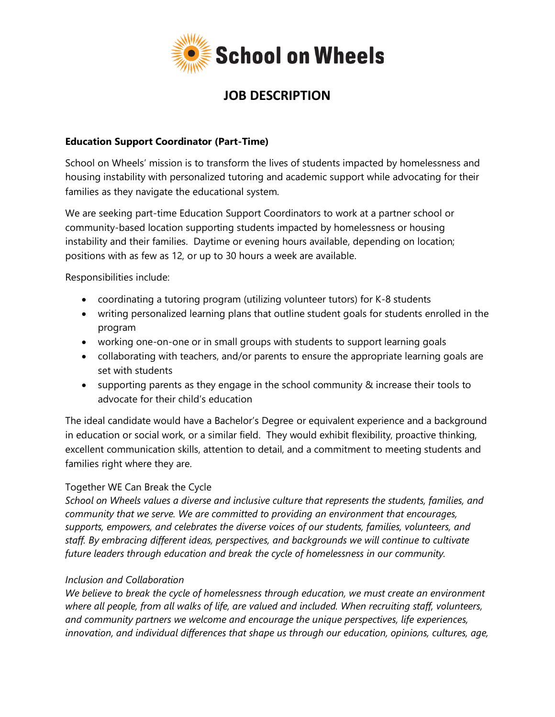

# **JOB DESCRIPTION**

#### **Education Support Coordinator (Part-Time)**

School on Wheels' mission is to transform the lives of students impacted by homelessness and housing instability with personalized tutoring and academic support while advocating for their families as they navigate the educational system.

We are seeking part-time Education Support Coordinators to work at a partner school or community-based location supporting students impacted by homelessness or housing instability and their families. Daytime or evening hours available, depending on location; positions with as few as 12, or up to 30 hours a week are available.

Responsibilities include:

- coordinating a tutoring program (utilizing volunteer tutors) for K-8 students
- writing personalized learning plans that outline student goals for students enrolled in the program
- working one-on-one or in small groups with students to support learning goals
- collaborating with teachers, and/or parents to ensure the appropriate learning goals are set with students
- supporting parents as they engage in the school community & increase their tools to advocate for their child's education

The ideal candidate would have a Bachelor's Degree or equivalent experience and a background in education or social work, or a similar field. They would exhibit flexibility, proactive thinking, excellent communication skills, attention to detail, and a commitment to meeting students and families right where they are.

### Together WE Can Break the Cycle

*School on Wheels values a diverse and inclusive culture that represents the students, families, and community that we serve. We are committed to providing an environment that encourages, supports, empowers, and celebrates the diverse voices of our students, families, volunteers, and staff. By embracing different ideas, perspectives, and backgrounds we will continue to cultivate future leaders through education and break the cycle of homelessness in our community.*

### *Inclusion and Collaboration*

*We believe to break the cycle of homelessness through education, we must create an environment where all people, from all walks of life, are valued and included. When recruiting staff, volunteers, and community partners we welcome and encourage the unique perspectives, life experiences, innovation, and individual differences that shape us through our education, opinions, cultures, age,*